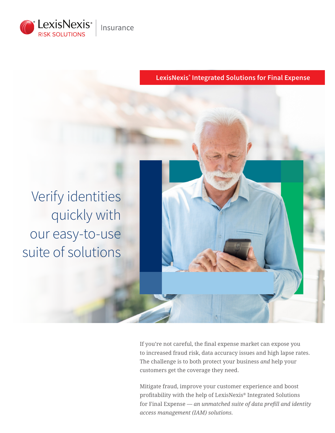

**LexisNexis® Integrated Solutions for Final Expense**



If you're not careful, the final expense market can expose you to increased fraud risk, data accuracy issues and high lapse rates. The challenge is to both protect your business *and* help your customers get the coverage they need.

Mitigate fraud, improve your customer experience and boost profitability with the help of LexisNexis® Integrated Solutions for Final Expense — *an unmatched suite of data prefill and identity access management (IAM) solutions.*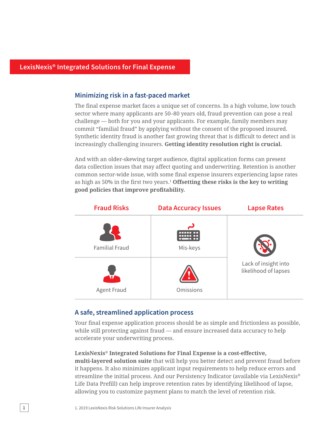#### **Minimizing risk in a fast-paced market**

The final expense market faces a unique set of concerns. In a high volume, low touch sector where many applicants are 50–80 years old, fraud prevention can pose a real challenge — both for you and your applicants. For example, family members may commit "familial fraud" by applying without the consent of the proposed insured. Synthetic identity fraud is another fast growing threat that is difficult to detect and is increasingly challenging insurers. **Getting identity resolution right is crucial.**

And with an older-skewing target audience, digital application forms can present data collection issues that may affect quoting and underwriting. Retention is another common sector-wide issue, with some final expense insurers experiencing lapse rates as high as 50% in the first two years.<sup>1</sup> **Offsetting these risks is the key to writing good policies that improve profitability.**

| <b>Fraud Risks</b>    | <b>Data Accuracy Issues</b> | <b>Lapse Rates</b>                           |
|-----------------------|-----------------------------|----------------------------------------------|
| <b>Familial Fraud</b> | ر<br>Mis-keys               |                                              |
| Agent Fraud           | Omissions                   | Lack of insight into<br>likelihood of lapses |

#### **A safe, streamlined application process**

Your final expense application process should be as simple and frictionless as possible, while still protecting against fraud — and ensure increased data accuracy to help accelerate your underwriting process.

#### **LexisNexis® Integrated Solutions for Final Expense is a cost-effective,**

**multi-layered solution suite** that will help you better detect and prevent fraud before it happens. It also minimizes applicant input requirements to help reduce errors and streamline the initial process. And our Persistency Indicator (available via LexisNexis**®** Life Data Prefill) can help improve retention rates by identifying likelihood of lapse, allowing you to customize payment plans to match the level of retention risk.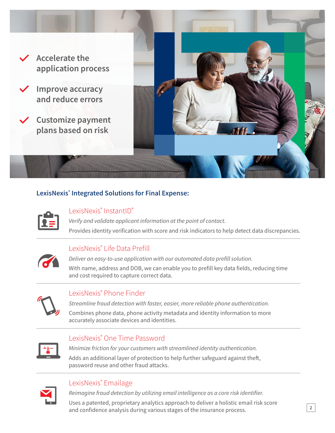

### **LexisNexis® Integrated Solutions for Final Expense:**



#### LexisNexis® InstantID®

*Verify and validate applicant information at the point of contact.* Provides identity verification with score and risk indicators to help detect data discrepancies.

# LexisNexis® Life Data Prefill



*Deliver an easy-to-use application with our automated data prefill solution.*

With name, address and DOB, we can enable you to prefill key data fields, reducing time and cost required to capture correct data.



## LexisNexis® Phone Finder

*Streamline fraud detection with faster, easier, more reliable phone authentication.* 

Combines phone data, phone activity metadata and identity information to more accurately associate devices and identities.

## LexisNexis® One Time Password



*Minimize friction for your customers with streamlined identity authentication.* Adds an additional layer of protection to help further safeguard against theft, password reuse and other fraud attacks.



#### LexisNexis® Emailage

*Reimagine fraud detection by utilizing email intelligence as a core risk identifier.*

Uses a patented, proprietary analytics approach to deliver a holistic email risk score and confidence analysis during various stages of the insurance process.